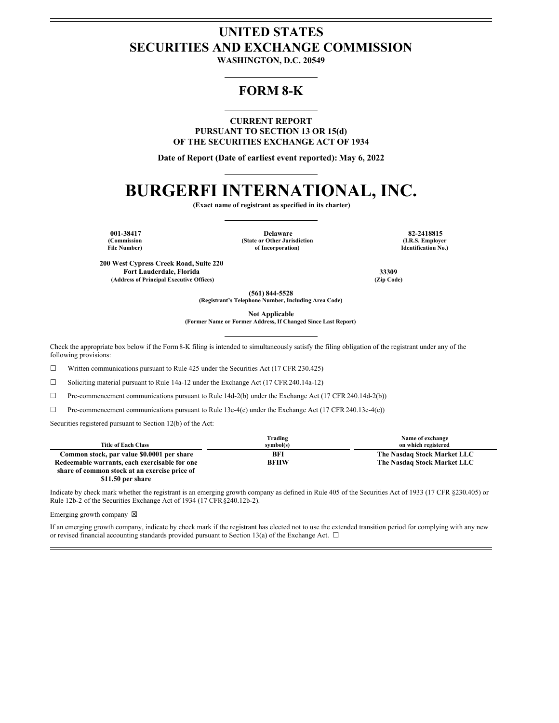## **UNITED STATES SECURITIES AND EXCHANGE COMMISSION**

**WASHINGTON, D.C. 20549**

### **FORM 8-K**

**CURRENT REPORT PURSUANT TO SECTION 13 OR 15(d) OF THE SECURITIES EXCHANGE ACT OF 1934**

**Date of Report (Date of earliest event reported): May 6, 2022**

# **BURGERFI INTERNATIONAL, INC.**

**(Exact name of registrant as specified in its charter)**

**(Commission File Number)**

**001-38417 Delaware 82-2418815 (State or Other Jurisdiction of Incorporation)**

**(I.R.S. Employer Identification No.)**

**200 West Cypress Creek Road, Suite 220 Fort Lauderdale, Florida 33309 (Address of Principal Executive Offices) (Zip Code)**

**(561) 844-5528**

**(Registrant's Telephone Number, Including Area Code)**

**Not Applicable**

**(Former Name or Former Address, If Changed Since Last Report)**

Check the appropriate box below if the Form8-K filing is intended to simultaneously satisfy the filing obligation of the registrant under any of the following provisions:

 $\Box$  Written communications pursuant to Rule 425 under the Securities Act (17 CFR 230.425)

☐ Soliciting material pursuant to Rule 14a-12 under the Exchange Act (17 CFR 240.14a-12)

☐ Pre-commencement communications pursuant to Rule 14d-2(b) under the Exchange Act (17 CFR 240.14d-2(b))

 $\Box$  Pre-commencement communications pursuant to Rule 13e-4(c) under the Exchange Act (17 CFR 240.13e-4(c))

Securities registered pursuant to Section 12(b) of the Act:

|                                               | Trading      | Name of exchange            |
|-----------------------------------------------|--------------|-----------------------------|
| <b>Title of Each Class</b>                    | symbol(s)    | on which registered         |
| Common stock, par value \$0.0001 per share    | BFI          | The Nasdaq Stock Market LLC |
| Redeemable warrants, each exercisable for one | <b>BFIIW</b> | The Nasdaq Stock Market LLC |
| share of common stock at an exercise price of |              |                             |

**\$11.50 per share**

Indicate by check mark whether the registrant is an emerging growth company as defined in Rule 405 of the Securities Act of 1933 (17 CFR §230.405) or Rule 12b-2 of the Securities Exchange Act of 1934 (17 CFR§240.12b-2).

Emerging growth company  $\boxtimes$ 

If an emerging growth company, indicate by check mark if the registrant has elected not to use the extended transition period for complying with any new or revised financial accounting standards provided pursuant to Section 13(a) of the Exchange Act.  $\Box$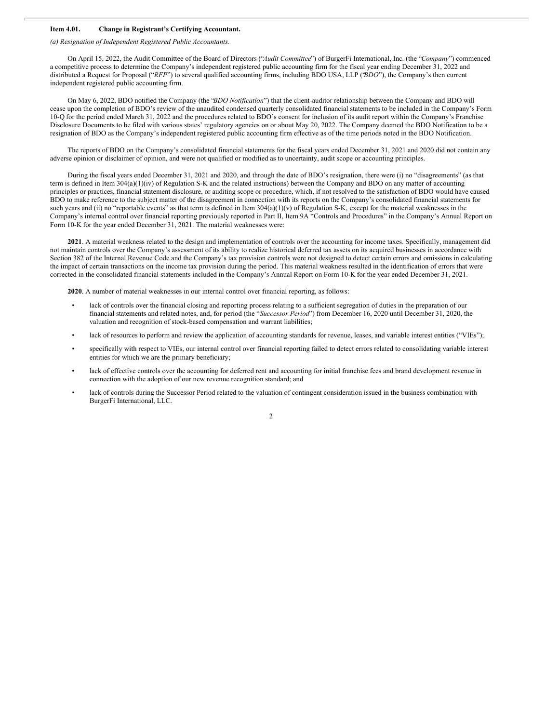#### **Item 4.01. Change in Registrant's Certifying Accountant.**

*(a) Resignation of Independent Registered Public Accountants.*

On April 15, 2022, the Audit Committee of the Board of Directors ("*Audit Committee*") of BurgerFi International, Inc. (the "*Company*") commenced a competitive process to determine the Company's independent registered public accounting firm for the fiscal year ending December 31, 2022 and distributed a Request for Proposal ("*RFP*") to several qualified accounting firms, including BDO USA, LLP ("*BDO*"), the Company's then current independent registered public accounting firm.

On May 6, 2022, BDO notified the Company (the "*BDO Notification*") that the client-auditor relationship between the Company and BDO will cease upon the completion of BDO's review of the unaudited condensed quarterly consolidated financial statements to be included in the Company's Form 10-Q for the period ended March 31, 2022 and the procedures related to BDO's consent for inclusion of its audit report within the Company's Franchise Disclosure Documents to be filed with various states' regulatory agencies on or about May 20, 2022. The Company deemed the BDO Notification to be a resignation of BDO as the Company's independent registered public accounting firm effective as of the time periods noted in the BDO Notification.

The reports of BDO on the Company's consolidated financial statements for the fiscal years ended December 31, 2021 and 2020 did not contain any adverse opinion or disclaimer of opinion, and were not qualified or modified as to uncertainty, audit scope or accounting principles.

During the fiscal years ended December 31, 2021 and 2020, and through the date of BDO's resignation, there were (i) no "disagreements" (as that term is defined in Item 304(a)(1)(iv) of Regulation S-K and the related instructions) between the Company and BDO on any matter of accounting principles or practices, financial statement disclosure, or auditing scope or procedure, which, if not resolved to the satisfaction of BDO would have caused BDO to make reference to the subject matter of the disagreement in connection with its reports on the Company's consolidated financial statements for such years and (ii) no "reportable events" as that term is defined in Item 304(a)(1)(v) of Regulation S-K, except for the material weaknesses in the Company's internal control over financial reporting previously reported in Part II, Item 9A "Controls and Procedures" in the Company's Annual Report on Form 10-K for the year ended December 31, 2021. The material weaknesses were:

**2021**. A material weakness related to the design and implementation of controls over the accounting for income taxes. Specifically, management did not maintain controls over the Company's assessment of its ability to realize historical deferred tax assets on its acquired businesses in accordance with Section 382 of the Internal Revenue Code and the Company's tax provision controls were not designed to detect certain errors and omissions in calculating the impact of certain transactions on the income tax provision during the period. This material weakness resulted in the identification of errors that were corrected in the consolidated financial statements included in the Company's Annual Report on Form 10-K for the year ended December 31, 2021.

**2020**. A number of material weaknesses in our internal control over financial reporting, as follows:

- lack of controls over the financial closing and reporting process relating to a sufficient segregation of duties in the preparation of our financial statements and related notes, and, for period (the "*Successor Period*") from December 16, 2020 until December 31, 2020, the valuation and recognition of stock-based compensation and warrant liabilities;
- lack of resources to perform and review the application of accounting standards for revenue, leases, and variable interest entities ("VIEs");
- specifically with respect to VIEs, our internal control over financial reporting failed to detect errors related to consolidating variable interest entities for which we are the primary beneficiary;
- lack of effective controls over the accounting for deferred rent and accounting for initial franchise fees and brand development revenue in connection with the adoption of our new revenue recognition standard; and
- lack of controls during the Successor Period related to the valuation of contingent consideration issued in the business combination with BurgerFi International, LLC.

2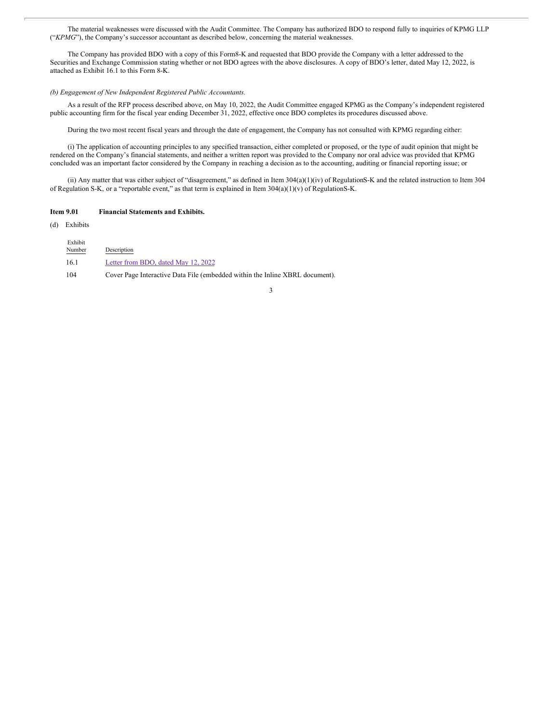The material weaknesses were discussed with the Audit Committee. The Company has authorized BDO to respond fully to inquiries of KPMG LLP ("*KPMG*"), the Company's successor accountant as described below, concerning the material weaknesses.

The Company has provided BDO with a copy of this Form8-K and requested that BDO provide the Company with a letter addressed to the Securities and Exchange Commission stating whether or not BDO agrees with the above disclosures. A copy of BDO's letter, dated May 12, 2022, is attached as Exhibit 16.1 to this Form 8-K.

#### *(b) Engagement of New Independent Registered Public Accountants.*

As a result of the RFP process described above, on May 10, 2022, the Audit Committee engaged KPMG as the Company's independent registered public accounting firm for the fiscal year ending December 31, 2022, effective once BDO completes its procedures discussed above.

During the two most recent fiscal years and through the date of engagement, the Company has not consulted with KPMG regarding either:

(i) The application of accounting principles to any specified transaction, either completed or proposed, or the type of audit opinion that might be rendered on the Company's financial statements, and neither a written report was provided to the Company nor oral advice was provided that KPMG concluded was an important factor considered by the Company in reaching a decision as to the accounting, auditing or financial reporting issue; or

(ii) Any matter that was either subject of "disagreement," as defined in Item 304(a)(1)(iv) of RegulationS-K and the related instruction to Item 304 of Regulation S-K, or a "reportable event," as that term is explained in Item  $304(a)(1)(v)$  of Regulation S-K.

#### **Item 9.01 Financial Statements and Exhibits.**

(d) Exhibits

| Exhibit<br>Number | Description                                                                  |
|-------------------|------------------------------------------------------------------------------|
| -16.1             | Letter from BDO, dated May 12, 2022                                          |
| 104               | Cover Page Interactive Data File (embedded within the Inline XBRL document). |

#### 3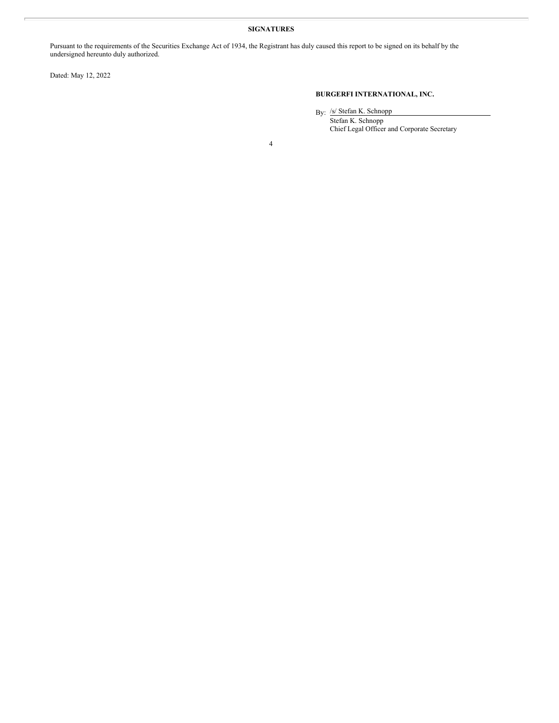#### **SIGNATURES**

Pursuant to the requirements of the Securities Exchange Act of 1934, the Registrant has duly caused this report to be signed on its behalf by the undersigned hereunto duly authorized.

Dated: May 12, 2022

#### **BURGERFI INTERNATIONAL, INC.**

By: /s/ Stefan K. Schnopp

Stefan K. Schnopp Chief Legal Officer and Corporate Secretary

4